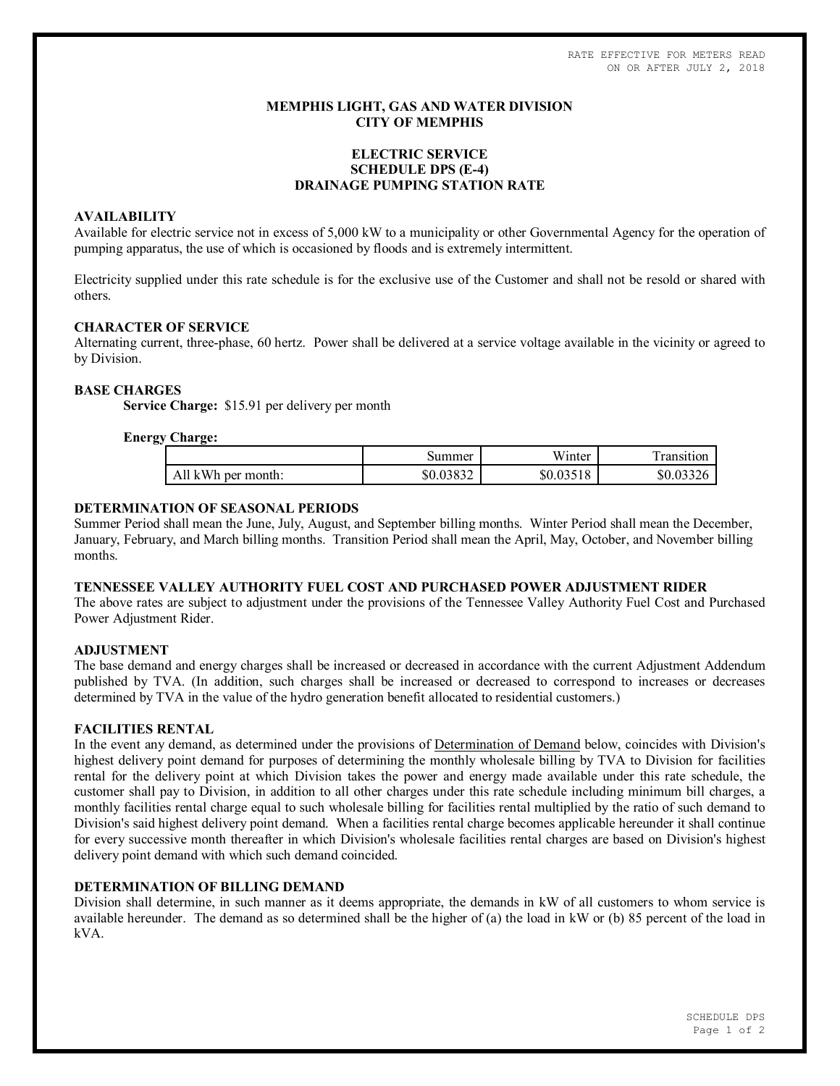RATE EFFECTIVE FOR METERS READ ON OR AFTER JULY 2, 2018

# **MEMPHIS LIGHT, GAS AND WATER DIVISION CITY OF MEMPHIS**

# **ELECTRIC SERVICE SCHEDULE DPS (E-4) DRAINAGE PUMPING STATION RATE**

### **AVAILABILITY**

Available for electric service not in excess of 5,000 kW to a municipality or other Governmental Agency for the operation of pumping apparatus, the use of which is occasioned by floods and is extremely intermittent.

Electricity supplied under this rate schedule is for the exclusive use of the Customer and shall not be resold or shared with others.

### **CHARACTER OF SERVICE**

Alternating current, three-phase, 60 hertz. Power shall be delivered at a service voltage available in the vicinity or agreed to by Division.

### **BASE CHARGES**

**Service Charge:** \$15.91 per delivery per month

### **Energy Charge:**

| . .                | Summer             | 11 T *<br>Winter | .ransıtıon |
|--------------------|--------------------|------------------|------------|
| All kWh per month: | 02022<br>\$0.03832 | \$0.03518        | \$0.03326  |

### **DETERMINATION OF SEASONAL PERIODS**

Summer Period shall mean the June, July, August, and September billing months. Winter Period shall mean the December, January, February, and March billing months. Transition Period shall mean the April, May, October, and November billing months.

#### **TENNESSEE VALLEY AUTHORITY FUEL COST AND PURCHASED POWER ADJUSTMENT RIDER**

The above rates are subject to adjustment under the provisions of the Tennessee Valley Authority Fuel Cost and Purchased Power Adjustment Rider.

#### **ADJUSTMENT**

The base demand and energy charges shall be increased or decreased in accordance with the current Adjustment Addendum published by TVA. (In addition, such charges shall be increased or decreased to correspond to increases or decreases determined by TVA in the value of the hydro generation benefit allocated to residential customers.)

### **FACILITIES RENTAL**

In the event any demand, as determined under the provisions of Determination of Demand below, coincides with Division's highest delivery point demand for purposes of determining the monthly wholesale billing by TVA to Division for facilities rental for the delivery point at which Division takes the power and energy made available under this rate schedule, the customer shall pay to Division, in addition to all other charges under this rate schedule including minimum bill charges, a monthly facilities rental charge equal to such wholesale billing for facilities rental multiplied by the ratio of such demand to Division's said highest delivery point demand. When a facilities rental charge becomes applicable hereunder it shall continue for every successive month thereafter in which Division's wholesale facilities rental charges are based on Division's highest delivery point demand with which such demand coincided.

#### **DETERMINATION OF BILLING DEMAND**

Division shall determine, in such manner as it deems appropriate, the demands in kW of all customers to whom service is available hereunder. The demand as so determined shall be the higher of (a) the load in kW or (b) 85 percent of the load in kVA.